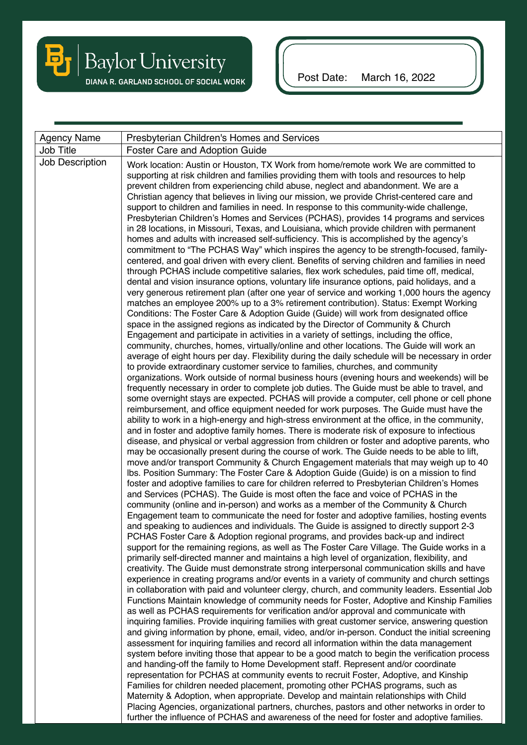

Post Date: March 16, 2022

| <b>Agency Name</b> | Presbyterian Children's Homes and Services                                                                                                                                                                                                                                                                                                                                                                                                                                                                                                                                                                                                                                                                                                                                                                                                                                                                                                                                                                                                                                                                                                                                                                                                                                                                                                                                                                                                                                                                                                                                                                                                                                                                                                                                                                                                                                                                                                                                                                                                                                                                                                                                                                                                                                                                                                                                                                                                                                                                                                                                                                                                                                                                                                                                                                                                                                                                                                                                                                                                                                                                                                                                                                                                                                                                                                                                                                                                                                                                                                                                                                                                                                                                                                                                                                                                                                                                                                                                                                                                                                                                                                                                                                                                                                                                                                                                                                                                                                                                                                                                                                                                                                                                                                                    |  |  |
|--------------------|---------------------------------------------------------------------------------------------------------------------------------------------------------------------------------------------------------------------------------------------------------------------------------------------------------------------------------------------------------------------------------------------------------------------------------------------------------------------------------------------------------------------------------------------------------------------------------------------------------------------------------------------------------------------------------------------------------------------------------------------------------------------------------------------------------------------------------------------------------------------------------------------------------------------------------------------------------------------------------------------------------------------------------------------------------------------------------------------------------------------------------------------------------------------------------------------------------------------------------------------------------------------------------------------------------------------------------------------------------------------------------------------------------------------------------------------------------------------------------------------------------------------------------------------------------------------------------------------------------------------------------------------------------------------------------------------------------------------------------------------------------------------------------------------------------------------------------------------------------------------------------------------------------------------------------------------------------------------------------------------------------------------------------------------------------------------------------------------------------------------------------------------------------------------------------------------------------------------------------------------------------------------------------------------------------------------------------------------------------------------------------------------------------------------------------------------------------------------------------------------------------------------------------------------------------------------------------------------------------------------------------------------------------------------------------------------------------------------------------------------------------------------------------------------------------------------------------------------------------------------------------------------------------------------------------------------------------------------------------------------------------------------------------------------------------------------------------------------------------------------------------------------------------------------------------------------------------------------------------------------------------------------------------------------------------------------------------------------------------------------------------------------------------------------------------------------------------------------------------------------------------------------------------------------------------------------------------------------------------------------------------------------------------------------------------------------------------------------------------------------------------------------------------------------------------------------------------------------------------------------------------------------------------------------------------------------------------------------------------------------------------------------------------------------------------------------------------------------------------------------------------------------------------------------------------------------------------------------------------------------------------------------------------------------------------------------------------------------------------------------------------------------------------------------------------------------------------------------------------------------------------------------------------------------------------------------------------------------------------------------------------------------------------------------------------------------------------------------------------------------------------------|--|--|
| Job Title          | Foster Care and Adoption Guide                                                                                                                                                                                                                                                                                                                                                                                                                                                                                                                                                                                                                                                                                                                                                                                                                                                                                                                                                                                                                                                                                                                                                                                                                                                                                                                                                                                                                                                                                                                                                                                                                                                                                                                                                                                                                                                                                                                                                                                                                                                                                                                                                                                                                                                                                                                                                                                                                                                                                                                                                                                                                                                                                                                                                                                                                                                                                                                                                                                                                                                                                                                                                                                                                                                                                                                                                                                                                                                                                                                                                                                                                                                                                                                                                                                                                                                                                                                                                                                                                                                                                                                                                                                                                                                                                                                                                                                                                                                                                                                                                                                                                                                                                                                                |  |  |
| Job Description    | Work location: Austin or Houston, TX Work from home/remote work We are committed to<br>supporting at risk children and families providing them with tools and resources to help<br>prevent children from experiencing child abuse, neglect and abandonment. We are a<br>Christian agency that believes in living our mission, we provide Christ-centered care and<br>support to children and families in need. In response to this community-wide challenge,<br>Presbyterian Children's Homes and Services (PCHAS), provides 14 programs and services<br>in 28 locations, in Missouri, Texas, and Louisiana, which provide children with permanent<br>homes and adults with increased self-sufficiency. This is accomplished by the agency's<br>commitment to "The PCHAS Way" which inspires the agency to be strength-focused, family-<br>centered, and goal driven with every client. Benefits of serving children and families in need<br>through PCHAS include competitive salaries, flex work schedules, paid time off, medical,<br>dental and vision insurance options, voluntary life insurance options, paid holidays, and a<br>very generous retirement plan (after one year of service and working 1,000 hours the agency<br>matches an employee 200% up to a 3% retirement contribution). Status: Exempt Working<br>Conditions: The Foster Care & Adoption Guide (Guide) will work from designated office<br>space in the assigned regions as indicated by the Director of Community & Church<br>Engagement and participate in activities in a variety of settings, including the office,<br>community, churches, homes, virtually/online and other locations. The Guide will work an<br>average of eight hours per day. Flexibility during the daily schedule will be necessary in order<br>to provide extraordinary customer service to families, churches, and community<br>organizations. Work outside of normal business hours (evening hours and weekends) will be<br>frequently necessary in order to complete job duties. The Guide must be able to travel, and<br>some overnight stays are expected. PCHAS will provide a computer, cell phone or cell phone<br>reimbursement, and office equipment needed for work purposes. The Guide must have the<br>ability to work in a high-energy and high-stress environment at the office, in the community,<br>and in foster and adoptive family homes. There is moderate risk of exposure to infectious<br>disease, and physical or verbal aggression from children or foster and adoptive parents, who<br>may be occasionally present during the course of work. The Guide needs to be able to lift,<br>move and/or transport Community & Church Engagement materials that may weigh up to 40<br>Ibs. Position Summary: The Foster Care & Adoption Guide (Guide) is on a mission to find<br>foster and adoptive families to care for children referred to Presbyterian Children's Homes<br>and Services (PCHAS). The Guide is most often the face and voice of PCHAS in the<br>community (online and in-person) and works as a member of the Community & Church<br>Engagement team to communicate the need for foster and adoptive families, hosting events<br>and speaking to audiences and individuals. The Guide is assigned to directly support 2-3<br>PCHAS Foster Care & Adoption regional programs, and provides back-up and indirect<br>support for the remaining regions, as well as The Foster Care Village. The Guide works in a<br>primarily self-directed manner and maintains a high level of organization, flexibility, and<br>creativity. The Guide must demonstrate strong interpersonal communication skills and have<br>experience in creating programs and/or events in a variety of community and church settings<br>in collaboration with paid and volunteer clergy, church, and community leaders. Essential Job<br>Functions Maintain knowledge of community needs for Foster, Adoptive and Kinship Families<br>as well as PCHAS requirements for verification and/or approval and communicate with<br>inquiring families. Provide inquiring families with great customer service, answering question<br>and giving information by phone, email, video, and/or in-person. Conduct the initial screening<br>assessment for inquiring families and record all information within the data management<br>system before inviting those that appear to be a good match to begin the verification process<br>and handing-off the family to Home Development staff. Represent and/or coordinate<br>representation for PCHAS at community events to recruit Foster, Adoptive, and Kinship<br>Families for children needed placement, promoting other PCHAS programs, such as |  |  |
|                    | Maternity & Adoption, when appropriate. Develop and maintain relationships with Child<br>Placing Agencies, organizational partners, churches, pastors and other networks in order to                                                                                                                                                                                                                                                                                                                                                                                                                                                                                                                                                                                                                                                                                                                                                                                                                                                                                                                                                                                                                                                                                                                                                                                                                                                                                                                                                                                                                                                                                                                                                                                                                                                                                                                                                                                                                                                                                                                                                                                                                                                                                                                                                                                                                                                                                                                                                                                                                                                                                                                                                                                                                                                                                                                                                                                                                                                                                                                                                                                                                                                                                                                                                                                                                                                                                                                                                                                                                                                                                                                                                                                                                                                                                                                                                                                                                                                                                                                                                                                                                                                                                                                                                                                                                                                                                                                                                                                                                                                                                                                                                                          |  |  |
|                    | further the influence of PCHAS and awareness of the need for foster and adoptive families.                                                                                                                                                                                                                                                                                                                                                                                                                                                                                                                                                                                                                                                                                                                                                                                                                                                                                                                                                                                                                                                                                                                                                                                                                                                                                                                                                                                                                                                                                                                                                                                                                                                                                                                                                                                                                                                                                                                                                                                                                                                                                                                                                                                                                                                                                                                                                                                                                                                                                                                                                                                                                                                                                                                                                                                                                                                                                                                                                                                                                                                                                                                                                                                                                                                                                                                                                                                                                                                                                                                                                                                                                                                                                                                                                                                                                                                                                                                                                                                                                                                                                                                                                                                                                                                                                                                                                                                                                                                                                                                                                                                                                                                                    |  |  |